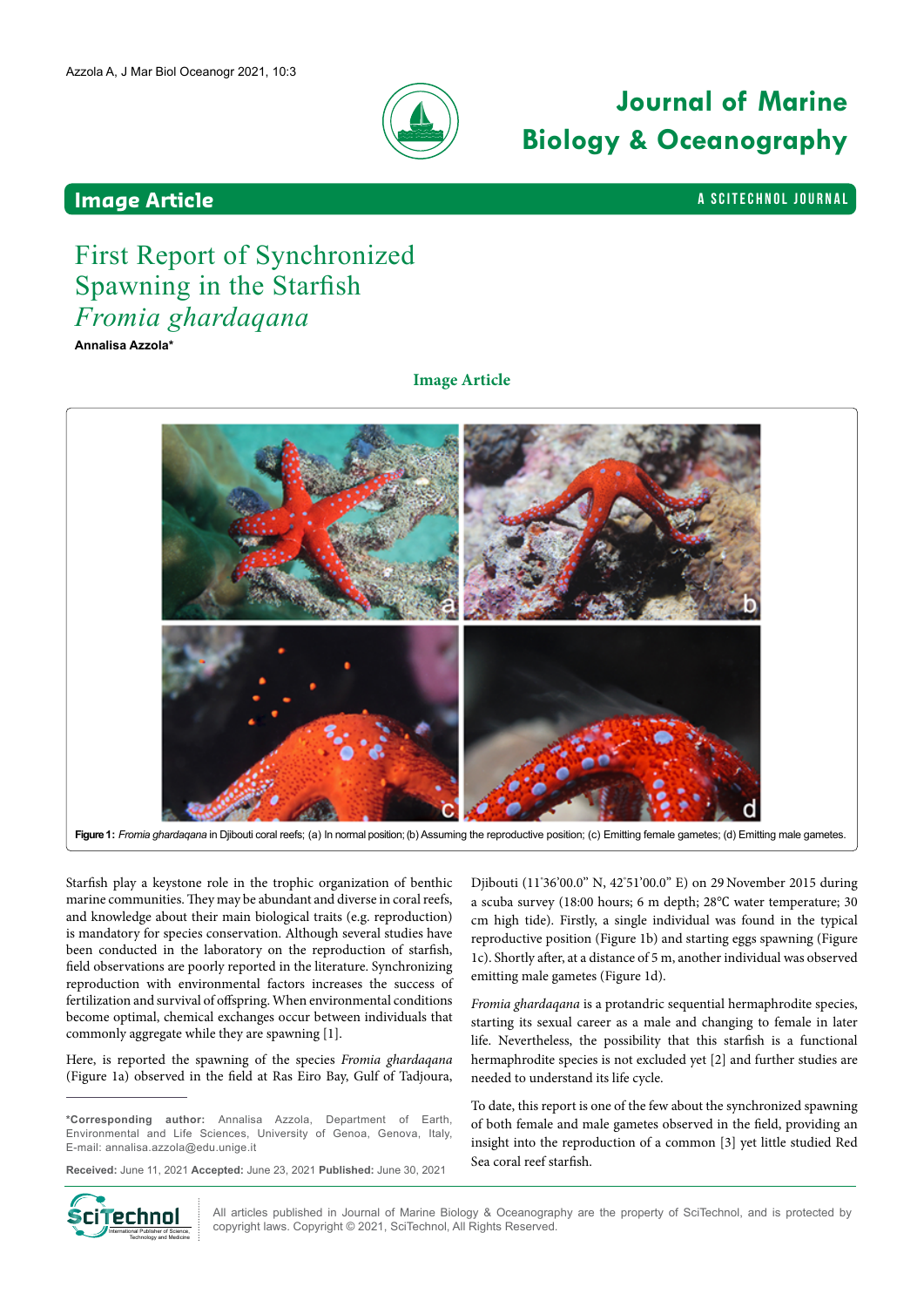

# **Journal of Marine Biology & Oceanography**

### **Image Article And Article And Article Alternative Contract And Article And Article And Article And Article And Article And Article And Article And Article And Article And Article And Article And Article And Article**

## First Report of Synchronized Spawning in the Starfish *Fromia ghardaqana*

**Annalisa Azzola\***

**Image Article**



Figure 1: *Fromia ghardaqana* in Djibouti coral reefs; (a) In normal position; (b) Assuming the reproductive position; (c) Emitting female gametes; (d) Emitting male gametes.

Starfish play a keystone role in the trophic organization of benthic marine communities. They may be abundant and diverse in coral reefs, and knowledge about their main biological traits (e.g. reproduction) is mandatory for species conservation. Although several studies have been conducted in the laboratory on the reproduction of starfish, field observations are poorly reported in the literature. Synchronizing reproduction with environmental factors increases the success of fertilization and survival of offspring. When environmental conditions become optimal, chemical exchanges occur between individuals that commonly aggregate while they are spawning [1].

Here, is reported the spawning of the species *Fromia ghardaqana*  (Figure 1a) observed in the field at Ras Eiro Bay, Gulf of Tadjoura,

**\*Corresponding author:** Annalisa Azzola, Department of Earth, Environmental and Life Sciences, University of Genoa, Genova, Italy, E-mail: [annalisa.azzola@edu.unige.it](mailto:annalisa.azzola@edu.unige.it)

**Received:** June 11, 2021 **Accepted:** June 23, 2021 **Published:** June 30, 2021

Djibouti (11° 36'00.0'' N, 42° 51'00.0'' E) on 29 November 2015 during a scuba survey (18:00 hours; 6 m depth; 28℃ water temperature; 30 cm high tide). Firstly, a single individual was found in the typical reproductive position (Figure 1b) and starting eggs spawning (Figure 1c). Shortly after, at a distance of 5 m, another individual was observed emitting male gametes (Figure 1d).

*Fromia ghardaqana* is a protandric sequential hermaphrodite species, starting its sexual career as a male and changing to female in later life. Nevertheless, the possibility that this starfish is a functional hermaphrodite species is not excluded yet [2] and further studies are needed to understand its life cycle.

To date, this report is one of the few about the synchronized spawning of both female and male gametes observed in the field, providing an insight into the reproduction of a common [3] yet little studied Red Sea coral reef starfish.



All articles published in Journal of Marine Biology & Oceanography are the property of SciTechnol, and is protected by copyright laws. Copyright © 2021, SciTechnol, All Rights Reserved.